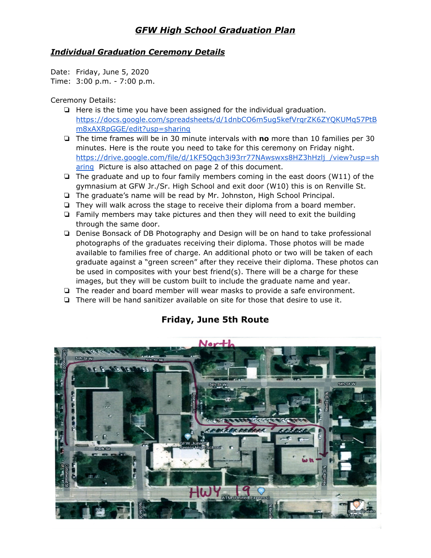### *GFW High School Graduation Plan*

#### *Individual Graduation Ceremony Details*

Date: Friday, June 5, 2020 Time: 3:00 p.m. - 7:00 p.m.

#### Ceremony Details:

- ❏ Here is the time you have been assigned for the individual graduation. [https://docs.google.com/spreadsheets/d/1dnbCO6m5ug5kefVrqrZK6ZYQKUMq57PtB](https://docs.google.com/spreadsheets/d/1dnbCO6m5ug5kefVrqrZK6ZYQKUMq57PtBm8xAXRpGGE/edit?usp=sharing) [m8xAXRpGGE/edit?usp=sharing](https://docs.google.com/spreadsheets/d/1dnbCO6m5ug5kefVrqrZK6ZYQKUMq57PtBm8xAXRpGGE/edit?usp=sharing)
- ❏ The time frames will be in 30 minute intervals with **no** more than 10 families per 30 minutes. Here is the route you need to take for this ceremony on Friday night. [https://drive.google.com/file/d/1KF5Qqch3i93rr77NAwswxs8HZ3hHzlj\\_/view?usp=sh](https://drive.google.com/file/d/1KF5Qqch3i93rr77NAwswxs8HZ3hHzlj_/view?usp=sharing) [aring](https://drive.google.com/file/d/1KF5Qqch3i93rr77NAwswxs8HZ3hHzlj_/view?usp=sharing) Picture is also attached on page 2 of this document.
- ❏ The graduate and up to four family members coming in the east doors (W11) of the gymnasium at GFW Jr./Sr. High School and exit door (W10) this is on Renville St.
- ❏ The graduate's name will be read by Mr. Johnston, High School Principal.
- ❏ They will walk across the stage to receive their diploma from a board member.
- ❏ Family members may take pictures and then they will need to exit the building through the same door.
- ❏ Denise Bonsack of DB Photography and Design will be on hand to take professional photographs of the graduates receiving their diploma. Those photos will be made available to families free of charge. An additional photo or two will be taken of each graduate against a "green screen" after they receive their diploma. These photos can be used in composites with your best friend(s). There will be a charge for these images, but they will be custom built to include the graduate name and year.
- ❏ The reader and board member will wear masks to provide a safe environment.
- ❏ There will be hand sanitizer available on site for those that desire to use it.



## **Friday, June 5th Route**